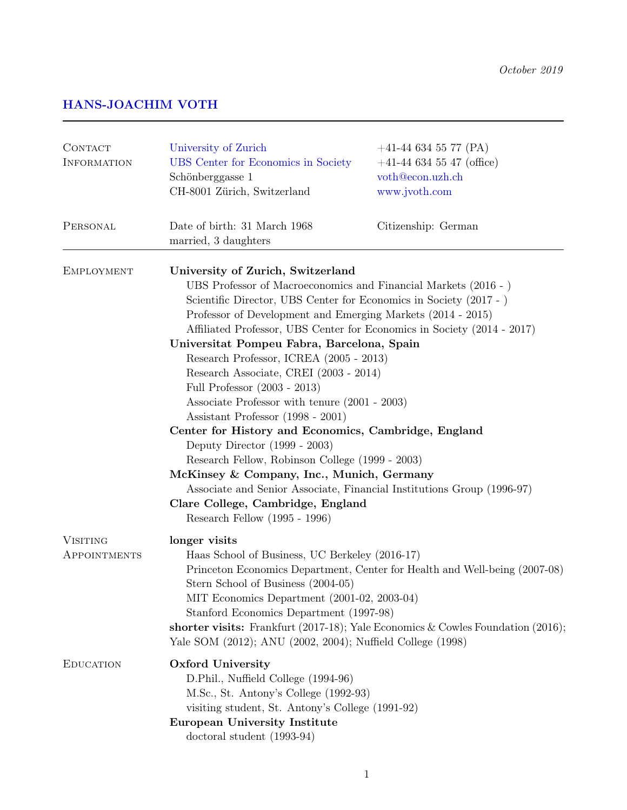## HANS-JOACHIM VOTH

| CONTACT<br>INFORMATION          | University of Zurich<br>UBS Center for Economics in Society<br>Schönberggasse 1<br>CH-8001 Zürich, Switzerland                                                                                                                                                                                                                                                                                                                                                                                                                                                                                                                                                                                                                                                                                                                                                                          | $+41-446345577$ (PA)<br>$+41-446345547$ (office)<br>voth@econ.uzh.ch<br>www.jvoth.com |
|---------------------------------|-----------------------------------------------------------------------------------------------------------------------------------------------------------------------------------------------------------------------------------------------------------------------------------------------------------------------------------------------------------------------------------------------------------------------------------------------------------------------------------------------------------------------------------------------------------------------------------------------------------------------------------------------------------------------------------------------------------------------------------------------------------------------------------------------------------------------------------------------------------------------------------------|---------------------------------------------------------------------------------------|
| PERSONAL                        | Date of birth: 31 March 1968<br>married, 3 daughters                                                                                                                                                                                                                                                                                                                                                                                                                                                                                                                                                                                                                                                                                                                                                                                                                                    | Citizenship: German                                                                   |
| <b>EMPLOYMENT</b>               | University of Zurich, Switzerland<br>UBS Professor of Macroeconomics and Financial Markets (2016 - )<br>Scientific Director, UBS Center for Economics in Society (2017 - )<br>Professor of Development and Emerging Markets (2014 - 2015)<br>Affiliated Professor, UBS Center for Economics in Society (2014 - 2017)<br>Universitat Pompeu Fabra, Barcelona, Spain<br>Research Professor, ICREA (2005 - 2013)<br>Research Associate, CREI (2003 - 2014)<br>Full Professor (2003 - 2013)<br>Associate Professor with tenure (2001 - 2003)<br>Assistant Professor (1998 - 2001)<br>Center for History and Economics, Cambridge, England<br>Deputy Director $(1999 - 2003)$<br>Research Fellow, Robinson College (1999 - 2003)<br>McKinsey & Company, Inc., Munich, Germany<br>Associate and Senior Associate, Financial Institutions Group (1996-97)<br>Clare College, Cambridge, England |                                                                                       |
| <b>VISITING</b><br>APPOINTMENTS | longer visits<br>Haas School of Business, UC Berkeley (2016-17)<br>Princeton Economics Department, Center for Health and Well-being (2007-08)<br>Stern School of Business (2004-05)<br>MIT Economics Department (2001-02, 2003-04)<br>Stanford Economics Department (1997-98)<br>shorter visits: Frankfurt (2017-18); Yale Economics & Cowles Foundation (2016);<br>Yale SOM (2012); ANU (2002, 2004); Nuffield College (1998)                                                                                                                                                                                                                                                                                                                                                                                                                                                          |                                                                                       |
| <b>EDUCATION</b>                | Oxford University<br>D.Phil., Nuffield College (1994-96)<br>M.Sc., St. Antony's College (1992-93)<br>visiting student, St. Antony's College (1991-92)<br><b>European University Institute</b><br>doctoral student $(1993-94)$                                                                                                                                                                                                                                                                                                                                                                                                                                                                                                                                                                                                                                                           |                                                                                       |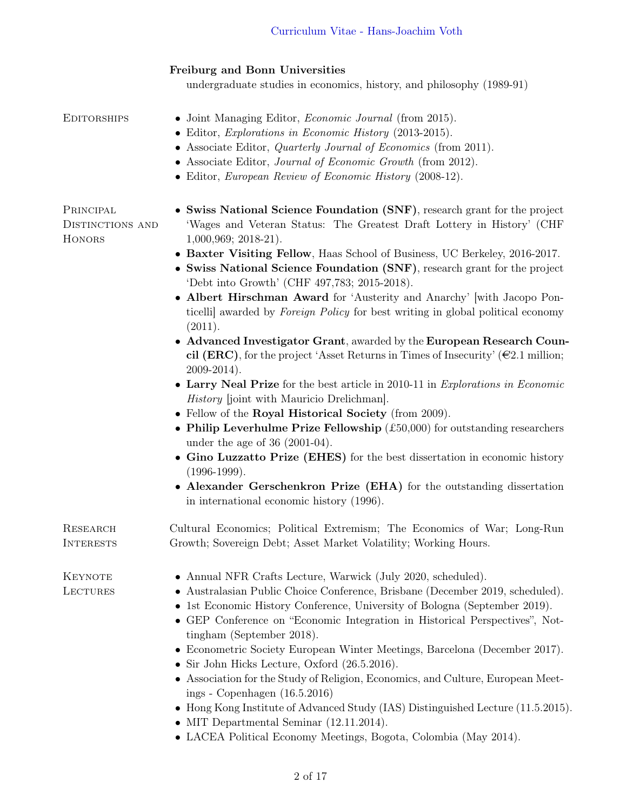### Freiburg and Bonn Universities

undergraduate studies in economics, history, and philosophy (1989-91)

# EDITORSHIPS • Joint Managing Editor, *Economic Journal* (from 2015).

- Editor, Explorations in Economic History (2013-2015).
- Associate Editor, *Quarterly Journal of Economics* (from 2011).
- Associate Editor, Journal of Economic Growth (from 2012).
- Editor, European Review of Economic History (2008-12).

**PRINCIPAL** DISTINCTIONS AND **HONORS** 

- Swiss National Science Foundation (SNF), research grant for the project 'Wages and Veteran Status: The Greatest Draft Lottery in History' (CHF 1,000,969; 2018-21).
- Baxter Visiting Fellow, Haas School of Business, UC Berkeley, 2016-2017.
- Swiss National Science Foundation (SNF), research grant for the project 'Debt into Growth' (CHF 497,783; 2015-2018).
- Albert Hirschman Award for 'Austerity and Anarchy' [with Jacopo Ponticelli] awarded by Foreign Policy for best writing in global political economy  $(2011).$
- Advanced Investigator Grant, awarded by the European Research Council (ERC), for the project 'Asset Returns in Times of Insecurity' ( $\epsilon$ 2.1 million; 2009-2014).
- Larry Neal Prize for the best article in 2010-11 in Explorations in Economic History [joint with Mauricio Drelichman].
- Fellow of the Royal Historical Society (from 2009).
- Philip Leverhulme Prize Fellowship  $(\text{\pounds}50,000)$  for outstanding researchers under the age of 36 (2001-04).
- Gino Luzzatto Prize (EHES) for the best dissertation in economic history  $(1996-1999)$ .
- Alexander Gerschenkron Prize (EHA) for the outstanding dissertation in international economic history (1996).

Research Cultural Economics; Political Extremism; The Economics of War; Long-Run Interests Growth; Sovereign Debt; Asset Market Volatility; Working Hours.

**KEYNOTE LECTURES** 

- Annual NFR Crafts Lecture, Warwick (July 2020, scheduled).
- Australasian Public Choice Conference, Brisbane (December 2019, scheduled).
- 1st Economic History Conference, University of Bologna (September 2019).
- GEP Conference on "Economic Integration in Historical Perspectives", Nottingham (September 2018).
- Econometric Society European Winter Meetings, Barcelona (December 2017).
- Sir John Hicks Lecture, Oxford (26.5.2016).
- Association for the Study of Religion, Economics, and Culture, European Meetings - Copenhagen (16.5.2016)
- Hong Kong Institute of Advanced Study (IAS) Distinguished Lecture (11.5.2015).
- MIT Departmental Seminar (12.11.2014).
- LACEA Political Economy Meetings, Bogota, Colombia (May 2014).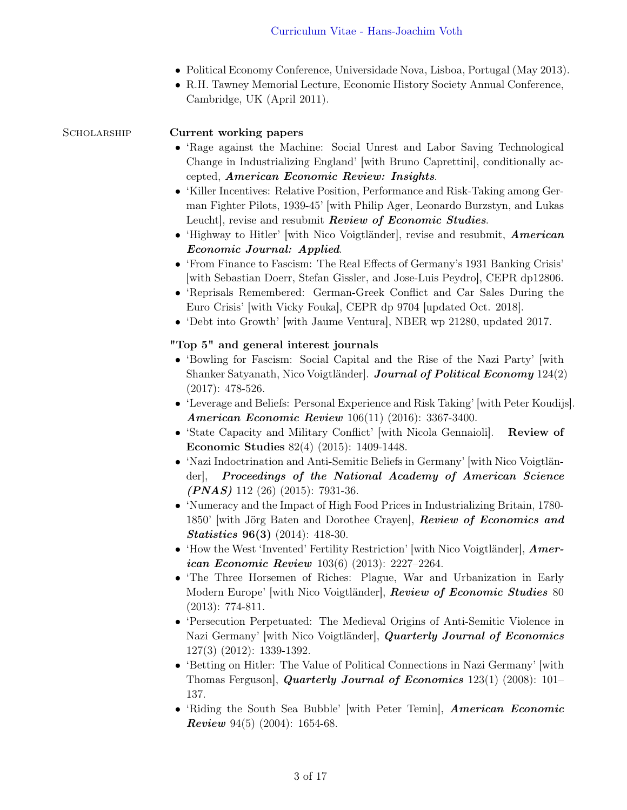- Political Economy Conference, Universidade Nova, Lisboa, Portugal (May 2013).
- R.H. Tawney Memorial Lecture, Economic History Society Annual Conference, Cambridge, UK (April 2011).

SCHOLARSHIP Current working papers

- 'Rage against the Machine: Social Unrest and Labor Saving Technological Change in Industrializing England' [with Bruno Caprettini], conditionally accepted, American Economic Review: Insights.
- 'Killer Incentives: Relative Position, Performance and Risk-Taking among German Fighter Pilots, 1939-45' [with Philip Ager, Leonardo Burzstyn, and Lukas Leucht, revise and resubmit *Review of Economic Studies*.
- 'Highway to Hitler' [with Nico Voigtländer], revise and resubmit, **American** Economic Journal: Applied.
- 'From Finance to Fascism: The Real Effects of Germany's 1931 Banking Crisis' [with Sebastian Doerr, Stefan Gissler, and Jose-Luis Peydro], CEPR dp12806.
- 'Reprisals Remembered: German-Greek Conflict and Car Sales During the Euro Crisis' [with Vicky Fouka], CEPR dp 9704 [updated Oct. 2018].
- 'Debt into Growth' [with Jaume Ventura], NBER wp 21280, updated 2017.

### "Top 5" and general interest journals

- 'Bowling for Fascism: Social Capital and the Rise of the Nazi Party' [with Shanker Satyanath, Nico Voigtländer. Journal of Political Economy 124(2) (2017): 478-526.
- 'Leverage and Beliefs: Personal Experience and Risk Taking' [with Peter Koudijs]. American Economic Review 106(11) (2016): 3367-3400.
- 'State Capacity and Military Conflict' [with Nicola Gennaioli]. Review of Economic Studies 82(4) (2015): 1409-1448.
- 'Nazi Indoctrination and Anti-Semitic Beliefs in Germany' [with Nico Voigtländer], Proceedings of the National Academy of American Science  $(PNAS)$  112 (26) (2015): 7931-36.
- 'Numeracy and the Impact of High Food Prices in Industrializing Britain, 1780- 1850' [with Jörg Baten and Dorothee Crayen], **Review of Economics and** Statistics 96(3) (2014): 418-30.
- 'How the West 'Invented' Fertility Restriction' [with Nico Voigtländer],  $Amer$ ican Economic Review 103(6) (2013): 2227–2264.
- 'The Three Horsemen of Riches: Plague, War and Urbanization in Early Modern Europe' [with Nico Voigtländer], Review of Economic Studies 80 (2013): 774-811.
- 'Persecution Perpetuated: The Medieval Origins of Anti-Semitic Violence in Nazi Germany' [with Nico Voigtländer], Quarterly Journal of Economics 127(3) (2012): 1339-1392.
- 'Betting on Hitler: The Value of Political Connections in Nazi Germany' [with Thomas Ferguson], Quarterly Journal of Economics  $123(1)$  (2008):  $101-$ 137.
- 'Riding the South Sea Bubble' [with Peter Temin], American Economic **Review** 94(5) (2004): 1654-68.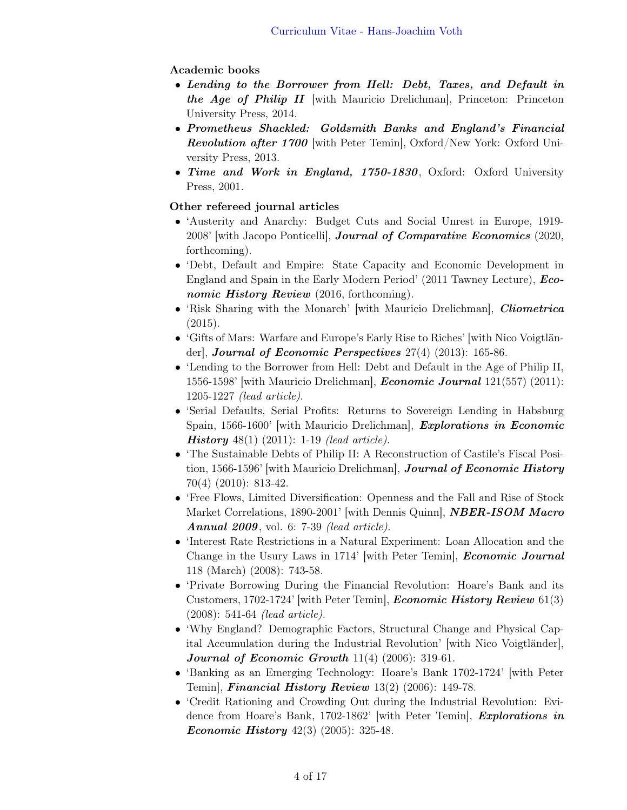### Academic books

- Lending to the Borrower from Hell: Debt, Taxes, and Default in the Age of Philip II with Mauricio Drelichman, Princeton: Princeton University Press, 2014.
- Prometheus Shackled: Goldsmith Banks and England's Financial **Revolution after 1700** with Peter Temin, Oxford/New York: Oxford University Press, 2013.
- Time and Work in England, 1750-1830, Oxford: Oxford University Press, 2001.

### Other refereed journal articles

- 'Austerity and Anarchy: Budget Cuts and Social Unrest in Europe, 1919- 2008' [with Jacopo Ponticelli], Journal of Comparative Economics (2020, forthcoming).
- 'Debt, Default and Empire: State Capacity and Economic Development in England and Spain in the Early Modern Period' (2011 Tawney Lecture), Economic History Review (2016, forthcoming).
- 'Risk Sharing with the Monarch' [with Mauricio Drelichman], *Cliometrica*  $(2015).$
- 'Gifts of Mars: Warfare and Europe's Early Rise to Riches' [with Nico Voigtländer], Journal of Economic Perspectives  $27(4)$  (2013): 165-86.
- 'Lending to the Borrower from Hell: Debt and Default in the Age of Philip II, 1556-1598' [with Mauricio Drelichman], Economic Journal 121(557) (2011): 1205-1227 (lead article).
- 'Serial Defaults, Serial Profits: Returns to Sovereign Lending in Habsburg Spain, 1566-1600' [with Mauricio Drelichman], *Explorations in Economic* **History** 48(1) (2011): 1-19 *(lead article)*.
- 'The Sustainable Debts of Philip II: A Reconstruction of Castile's Fiscal Position, 1566-1596' [with Mauricio Drelichman], Journal of Economic History 70(4) (2010): 813-42.
- 'Free Flows, Limited Diversification: Openness and the Fall and Rise of Stock Market Correlations, 1890-2001' [with Dennis Quinn], **NBER-ISOM Macro Annual 2009**, vol. 6: 7-39 *(lead article)*.
- 'Interest Rate Restrictions in a Natural Experiment: Loan Allocation and the Change in the Usury Laws in 1714' [with Peter Temin], *Economic Journal* 118 (March) (2008): 743-58.
- 'Private Borrowing During the Financial Revolution: Hoare's Bank and its Customers, 1702-1724' with Peter Temin, *Economic History Review* 61(3) (2008): 541-64 (lead article).
- 'Why England? Demographic Factors, Structural Change and Physical Capital Accumulation during the Industrial Revolution' [with Nico Voigtländer], Journal of Economic Growth  $11(4)$  (2006): 319-61.
- 'Banking as an Emerging Technology: Hoare's Bank 1702-1724' [with Peter Temin], Financial History Review 13(2) (2006): 149-78.
- 'Credit Rationing and Crowding Out during the Industrial Revolution: Evidence from Hoare's Bank, 1702-1862' [with Peter Temin], *Explorations in Economic History*  $42(3)$   $(2005)$ :  $325-48$ .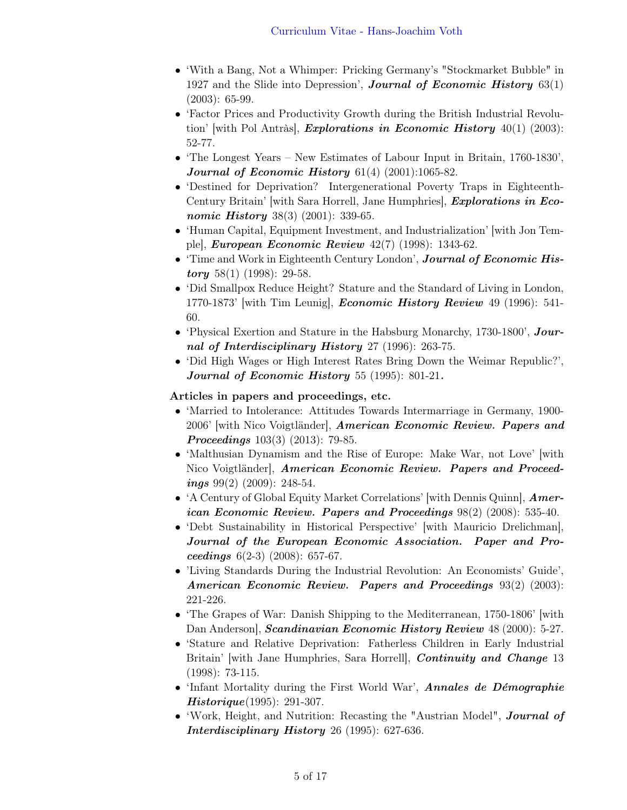- 'With a Bang, Not a Whimper: Pricking Germany's "Stockmarket Bubble" in 1927 and the Slide into Depression', **Journal of Economic History**  $63(1)$ (2003): 65-99.
- 'Factor Prices and Productivity Growth during the British Industrial Revolution' [with Pol Antràs], *Explorations in Economic History*  $40(1)$  (2003): 52-77.
- 'The Longest Years New Estimates of Labour Input in Britain, 1760-1830', Journal of Economic History  $61(4)$   $(2001):1065-82$ .
- 'Destined for Deprivation? Intergenerational Poverty Traps in Eighteenth-Century Britain' [with Sara Horrell, Jane Humphries], *Explorations in Eco*nomic History 38(3) (2001): 339-65.
- 'Human Capital, Equipment Investment, and Industrialization' [with Jon Temple], European Economic Review 42(7) (1998): 1343-62.
- 'Time and Work in Eighteenth Century London', **Journal of Economic His***tory* 58(1) (1998): 29-58.
- 'Did Smallpox Reduce Height? Stature and the Standard of Living in London, 1770-1873' [with Tim Leunig], *Economic History Review* 49 (1996): 541-60.
- 'Physical Exertion and Stature in the Habsburg Monarchy, 1730-1800', Journal of Interdisciplinary History 27 (1996): 263-75.
- 'Did High Wages or High Interest Rates Bring Down the Weimar Republic?', Journal of Economic History 55 (1995): 801-21.

### Articles in papers and proceedings, etc.

- 'Married to Intolerance: Attitudes Towards Intermarriage in Germany, 1900- 2006' [with Nico Voigtländer], American Economic Review. Papers and Proceedings 103(3) (2013): 79-85.
- 'Malthusian Dynamism and the Rise of Europe: Make War, not Love' [with Nico Voigtländer], American Economic Review. Papers and Proceedings  $99(2)$  (2009): 248-54.
- 'A Century of Global Equity Market Correlations' [with Dennis Quinn], American Economic Review. Papers and Proceedings 98(2) (2008): 535-40.
- 'Debt Sustainability in Historical Perspective' [with Mauricio Drelichman], Journal of the European Economic Association. Paper and Proceedings  $6(2-3)$   $(2008)$ : 657-67.
- 'Living Standards During the Industrial Revolution: An Economists' Guide', American Economic Review. Papers and Proceedings 93(2) (2003): 221-226.
- The Grapes of War: Danish Shipping to the Mediterranean, 1750-1806' with Dan Anderson], Scandinavian Economic History Review 48 (2000): 5-27.
- 'Stature and Relative Deprivation: Fatherless Children in Early Industrial Britain' with Jane Humphries, Sara Horrell, *Continuity and Change* 13 (1998): 73-115.
- 'Infant Mortality during the First World War', Annales de Démographie Historique(1995): 291-307.
- 'Work, Height, and Nutrition: Recasting the "Austrian Model", *Journal of* Interdisciplinary History 26 (1995): 627-636.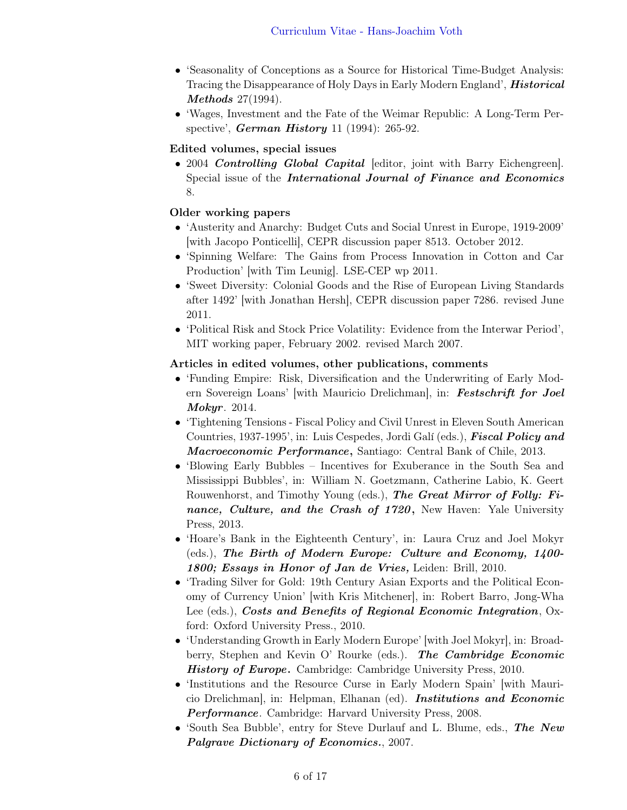- 'Seasonality of Conceptions as a Source for Historical Time-Budget Analysis: Tracing the Disappearance of Holy Days in Early Modern England', *Historical* Methods 27(1994).
- 'Wages, Investment and the Fate of the Weimar Republic: A Long-Term Perspective', *German History* 11 (1994): 265-92.

### Edited volumes, special issues

• 2004 Controlling Global Capital [editor, joint with Barry Eichengreen]. Special issue of the **International Journal of Finance and Economics** 8.

#### Older working papers

- 'Austerity and Anarchy: Budget Cuts and Social Unrest in Europe, 1919-2009' [with Jacopo Ponticelli], CEPR discussion paper 8513. October 2012.
- 'Spinning Welfare: The Gains from Process Innovation in Cotton and Car Production' [with Tim Leunig]. LSE-CEP wp 2011.
- 'Sweet Diversity: Colonial Goods and the Rise of European Living Standards after 1492' [with Jonathan Hersh], CEPR discussion paper 7286. revised June 2011.
- 'Political Risk and Stock Price Volatility: Evidence from the Interwar Period', MIT working paper, February 2002. revised March 2007.

#### Articles in edited volumes, other publications, comments

- 'Funding Empire: Risk, Diversification and the Underwriting of Early Modern Sovereign Loans' [with Mauricio Drelichman], in: Festschrift for Joel Mokyr. 2014.
- 'Tightening Tensions Fiscal Policy and Civil Unrest in Eleven South American Countries, 1937-1995', in: Luis Cespedes, Jordi Galí (eds.), *Fiscal Policy and* Macroeconomic Performance, Santiago: Central Bank of Chile, 2013.
- 'Blowing Early Bubbles Incentives for Exuberance in the South Sea and Mississippi Bubbles', in: William N. Goetzmann, Catherine Labio, K. Geert Rouwenhorst, and Timothy Young (eds.), The Great Mirror of Folly: Finance, Culture, and the Crash of 1720, New Haven: Yale University Press, 2013.
- 'Hoare's Bank in the Eighteenth Century', in: Laura Cruz and Joel Mokyr (eds.), The Birth of Modern Europe: Culture and Economy, 1400- 1800; Essays in Honor of Jan de Vries, Leiden: Brill, 2010.
- 'Trading Silver for Gold: 19th Century Asian Exports and the Political Economy of Currency Union' [with Kris Mitchener], in: Robert Barro, Jong-Wha Lee (eds.), Costs and Benefits of Regional Economic Integration, Oxford: Oxford University Press., 2010.
- 'Understanding Growth in Early Modern Europe' [with Joel Mokyr], in: Broadberry, Stephen and Kevin O' Rourke (eds.). The Cambridge Economic History of Europe. Cambridge: Cambridge University Press, 2010.
- 'Institutions and the Resource Curse in Early Modern Spain' with Mauricio Drelichman], in: Helpman, Elhanan (ed). Institutions and Economic Performance. Cambridge: Harvard University Press, 2008.
- 'South Sea Bubble', entry for Steve Durlauf and L. Blume, eds., The New Palgrave Dictionary of Economics., 2007.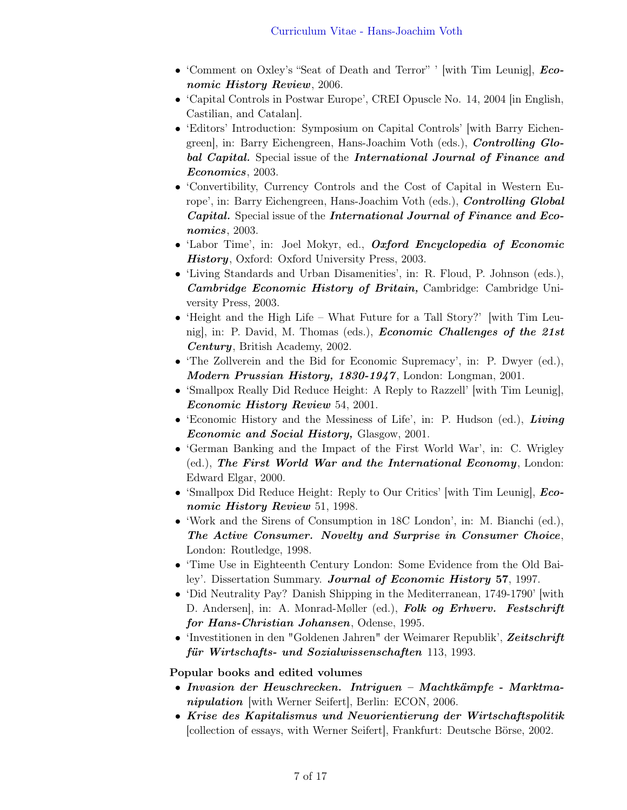- 'Comment on Oxley's "Seat of Death and Terror" ' with Tim Leunig], **Eco**nomic History Review, 2006.
- 'Capital Controls in Postwar Europe', CREI Opuscle No. 14, 2004 [in English, Castilian, and Catalan].
- 'Editors' Introduction: Symposium on Capital Controls' [with Barry Eichengreen], in: Barry Eichengreen, Hans-Joachim Voth (eds.), Controlling Global Capital. Special issue of the International Journal of Finance and Economics, 2003.
- 'Convertibility, Currency Controls and the Cost of Capital in Western Europe', in: Barry Eichengreen, Hans-Joachim Voth (eds.), Controlling Global Capital. Special issue of the International Journal of Finance and Economics, 2003.
- 'Labor Time', in: Joel Mokyr, ed., *Oxford Encyclopedia of Economic* History, Oxford: Oxford University Press, 2003.
- 'Living Standards and Urban Disamenities', in: R. Floud, P. Johnson (eds.), Cambridge Economic History of Britain, Cambridge: Cambridge University Press, 2003.
- 'Height and the High Life What Future for a Tall Story?' with Tim Leunig], in: P. David, M. Thomas (eds.), *Economic Challenges of the 21st* Century, British Academy, 2002.
- 'The Zollverein and the Bid for Economic Supremacy', in: P. Dwyer (ed.), Modern Prussian History, 1830-1947 , London: Longman, 2001.
- 'Smallpox Really Did Reduce Height: A Reply to Razzell' [with Tim Leunig], Economic History Review 54, 2001.
- 'Economic History and the Messiness of Life', in: P. Hudson (ed.), *Living* Economic and Social History, Glasgow, 2001.
- 'German Banking and the Impact of the First World War', in: C. Wrigley (ed.), The First World War and the International Economy, London: Edward Elgar, 2000.
- 'Smallpox Did Reduce Height: Reply to Our Critics' [with Tim Leunig], *Eco*nomic History Review 51, 1998.
- 'Work and the Sirens of Consumption in 18C London', in: M. Bianchi (ed.), The Active Consumer. Novelty and Surprise in Consumer Choice, London: Routledge, 1998.
- 'Time Use in Eighteenth Century London: Some Evidence from the Old Bailey'. Dissertation Summary. Journal of Economic History 57, 1997.
- 'Did Neutrality Pay? Danish Shipping in the Mediterranean, 1749-1790' with D. Andersen], in: A. Monrad-Møller (ed.), Folk og Erhverv. Festschrift for Hans-Christian Johansen, Odense, 1995.
- 'Investitionen in den "Goldenen Jahren" der Weimarer Republik', Zeitschrift für Wirtschafts- und Sozialwissenschaften 113, 1993.

Popular books and edited volumes

- Invasion der Heuschrecken. Intriguen Machtkämpfe Marktmanipulation [with Werner Seifert], Berlin: ECON, 2006.
- Krise des Kapitalismus und Neuorientierung der Wirtschaftspolitik [collection of essays, with Werner Seifert], Frankfurt: Deutsche Börse, 2002.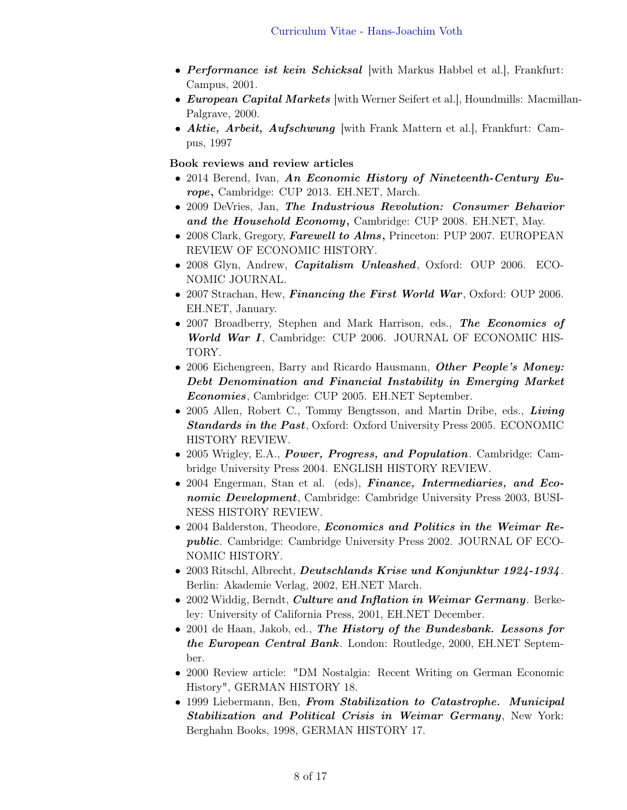- Performance ist kein Schicksal with Markus Habbel et al., Frankfurt: Campus, 2001.
- *European Capital Markets* [with Werner Seifert et al.], Houndmills: Macmillan-Palgrave, 2000.
- Aktie, Arbeit, Aufschwung [with Frank Mattern et al.], Frankfurt: Campus, 1997

#### Book reviews and review articles

- 2014 Berend, Ivan, An Economic History of Nineteenth-Century Europe, Cambridge: CUP 2013. EH.NET, March.
- 2009 DeVries, Jan, The Industrious Revolution: Consumer Behavior and the Household Economy, Cambridge: CUP 2008. EH.NET, May.
- 2008 Clark, Gregory, Farewell to Alms, Princeton: PUP 2007. EUROPEAN REVIEW OF ECONOMIC HISTORY.
- 2008 Glyn, Andrew, *Capitalism Unleashed*, Oxford: OUP 2006. ECO-NOMIC JOURNAL.
- 2007 Strachan, Hew, *Financing the First World War*, Oxford: OUP 2006. EH.NET, January.
- 2007 Broadberry, Stephen and Mark Harrison, eds., The Economics of World War I, Cambridge: CUP 2006. JOURNAL OF ECONOMIC HIS-TORY.
- 2006 Eichengreen, Barry and Ricardo Hausmann, *Other People's Money:* Debt Denomination and Financial Instability in Emerging Market Economies, Cambridge: CUP 2005. EH.NET September.
- 2005 Allen, Robert C., Tommy Bengtsson, and Martin Dribe, eds., Living Standards in the Past, Oxford: Oxford University Press 2005. ECONOMIC HISTORY REVIEW.
- 2005 Wrigley, E.A., *Power, Progress, and Population*. Cambridge: Cambridge University Press 2004. ENGLISH HISTORY REVIEW.
- 2004 Engerman, Stan et al. (eds), Finance, Intermediaries, and Economic Development, Cambridge: Cambridge University Press 2003, BUSI-NESS HISTORY REVIEW.
- 2004 Balderston, Theodore, *Economics and Politics in the Weimar Re*public. Cambridge: Cambridge University Press 2002. JOURNAL OF ECO-NOMIC HISTORY.
- 2003 Ritschl, Albrecht, *Deutschlands Krise und Konjunktur 1924-1934*. Berlin: Akademie Verlag, 2002, EH.NET March.
- 2002 Widdig, Berndt, *Culture and Inflation in Weimar Germany*. Berkeley: University of California Press, 2001, EH.NET December.
- 2001 de Haan, Jakob, ed., The History of the Bundesbank. Lessons for the European Central Bank. London: Routledge, 2000, EH.NET September.
- 2000 Review article: "DM Nostalgia: Recent Writing on German Economic History", GERMAN HISTORY 18.
- 1999 Liebermann, Ben, From Stabilization to Catastrophe. Municipal Stabilization and Political Crisis in Weimar Germany, New York: Berghahn Books, 1998, GERMAN HISTORY 17.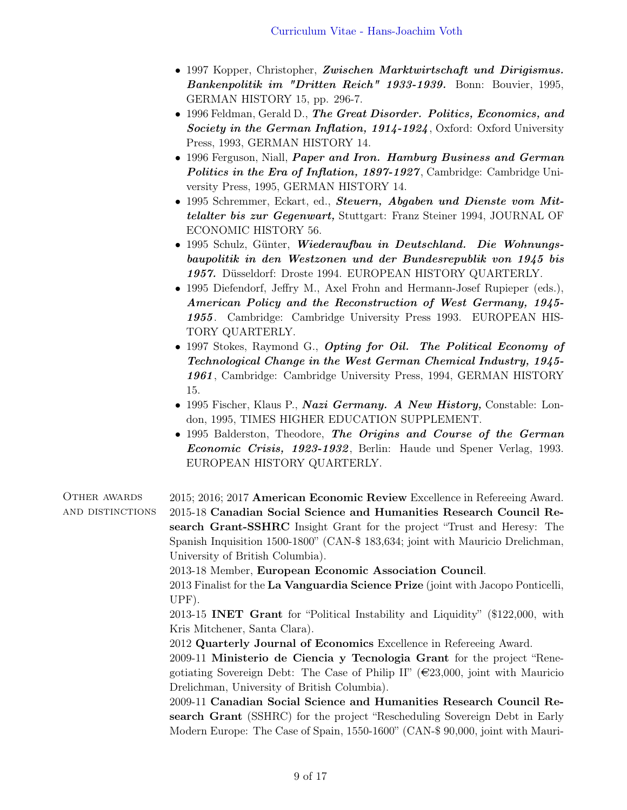- 1997 Kopper, Christopher, Zwischen Marktwirtschaft und Dirigismus. Bankenpolitik im "Dritten Reich" 1933-1939. Bonn: Bouvier, 1995, GERMAN HISTORY 15, pp. 296-7.
- 1996 Feldman, Gerald D., The Great Disorder. Politics, Economics, and Society in the German Inflation, 1914-1924, Oxford: Oxford University Press, 1993, GERMAN HISTORY 14.
- 1996 Ferguson, Niall, Paper and Iron. Hamburg Business and German Politics in the Era of Inflation, 1897-1927, Cambridge: Cambridge University Press, 1995, GERMAN HISTORY 14.
- 1995 Schremmer, Eckart, ed., Steuern, Abgaben und Dienste vom Mittelalter bis zur Gegenwart, Stuttgart: Franz Steiner 1994, JOURNAL OF ECONOMIC HISTORY 56.
- 1995 Schulz, Günter, Wiederaufbau in Deutschland. Die Wohnungsbaupolitik in den Westzonen und der Bundesrepublik von 1945 bis 1957. Düsseldorf: Droste 1994. EUROPEAN HISTORY QUARTERLY.
- 1995 Diefendorf, Jeffry M., Axel Frohn and Hermann-Josef Rupieper (eds.), American Policy and the Reconstruction of West Germany, 1945- 1955. Cambridge: Cambridge University Press 1993. EUROPEAN HIS-TORY QUARTERLY.
- 1997 Stokes, Raymond G., Opting for Oil. The Political Economy of Technological Change in the West German Chemical Industry, 1945- 1961, Cambridge: Cambridge University Press, 1994, GERMAN HISTORY 15.
- 1995 Fischer, Klaus P., Nazi Germany. A New History, Constable: London, 1995, TIMES HIGHER EDUCATION SUPPLEMENT.
- 1995 Balderston, Theodore, The Origins and Course of the German Economic Crisis, 1923-1932, Berlin: Haude und Spener Verlag, 1993. EUROPEAN HISTORY QUARTERLY.

| <b>OTHER AWARDS</b> | 2015; 2016; 2017 American Economic Review Excellence in Refereeing Award.                 |
|---------------------|-------------------------------------------------------------------------------------------|
| AND DISTINCTIONS    | 2015-18 Canadian Social Science and Humanities Research Council Re-                       |
|                     | search Grant-SSHRC Insight Grant for the project "Trust and Heresy: The                   |
|                     | Spanish Inquisition 1500-1800" (CAN-\$ 183,634; joint with Mauricio Drelichman,           |
|                     | University of British Columbia).                                                          |
|                     | 2013-18 Member, European Economic Association Council.                                    |
|                     | 2013 Finalist for the La Vanguardia Science Prize (joint with Jacopo Ponticelli,          |
|                     | $UPF$ ).                                                                                  |
|                     | 2013-15 <b>INET Grant</b> for "Political Instability and Liquidity" (\$122,000, with      |
|                     | Kris Mitchener, Santa Clara).                                                             |
|                     | 2012 Quarterly Journal of Economics Excellence in Refereeing Award.                       |
|                     | 2009-11 Ministerio de Ciencia y Tecnologia Grant for the project "Rene-                   |
|                     | gotiating Sovereign Debt: The Case of Philip II" ( $\epsilon$ 23,000, joint with Mauricio |
|                     | Drelichman, University of British Columbia).                                              |
|                     | 2009-11 Canadian Social Science and Humanities Research Council Re-                       |
|                     | search Grant (SSHRC) for the project "Rescheduling Sovereign Debt in Early                |
|                     | Modern Europe: The Case of Spain, 1550-1600" (CAN-\$ 90,000, joint with Mauri-            |
|                     |                                                                                           |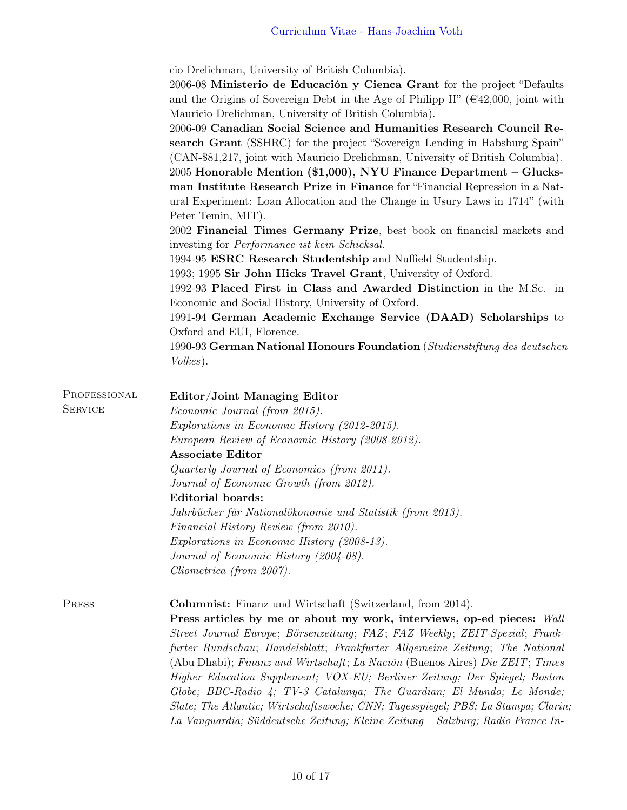|                                | cio Drelichman, University of British Columbia).<br>2006-08 Ministerio de Educación y Cienca Grant for the project "Defaults<br>and the Origins of Sovereign Debt in the Age of Philipp II" ( $\epsilon$ 42,000, joint with<br>Mauricio Drelichman, University of British Columbia).<br>2006-09 Canadian Social Science and Humanities Research Council Re-<br>search Grant (SSHRC) for the project "Sovereign Lending in Habsburg Spain"<br>(CAN-\$81,217, joint with Mauricio Drelichman, University of British Columbia).<br>$2005$ Honorable Mention (\$1,000), NYU Finance Department – Glucks-<br>man Institute Research Prize in Finance for "Financial Repression in a Nat-<br>ural Experiment: Loan Allocation and the Change in Usury Laws in 1714" (with<br>Peter Temin, MIT).<br>2002 Financial Times Germany Prize, best book on financial markets and<br>investing for <i>Performance ist kein Schicksal</i> .<br>1994-95 ESRC Research Studentship and Nuffield Studentship.<br>1993; 1995 Sir John Hicks Travel Grant, University of Oxford.<br>1992-93 Placed First in Class and Awarded Distinction in the M.Sc. in<br>Economic and Social History, University of Oxford.<br>1991-94 German Academic Exchange Service (DAAD) Scholarships to<br>Oxford and EUI, Florence.<br>1990-93 German National Honours Foundation (Studienstiftung des deutschen |
|--------------------------------|--------------------------------------------------------------------------------------------------------------------------------------------------------------------------------------------------------------------------------------------------------------------------------------------------------------------------------------------------------------------------------------------------------------------------------------------------------------------------------------------------------------------------------------------------------------------------------------------------------------------------------------------------------------------------------------------------------------------------------------------------------------------------------------------------------------------------------------------------------------------------------------------------------------------------------------------------------------------------------------------------------------------------------------------------------------------------------------------------------------------------------------------------------------------------------------------------------------------------------------------------------------------------------------------------------------------------------------------------------------------------|
|                                | <i>Volkes</i> ).                                                                                                                                                                                                                                                                                                                                                                                                                                                                                                                                                                                                                                                                                                                                                                                                                                                                                                                                                                                                                                                                                                                                                                                                                                                                                                                                                         |
| PROFESSIONAL<br><b>SERVICE</b> | Editor/Joint Managing Editor<br>Economic Journal (from 2015).<br>Explorations in Economic History (2012-2015).<br>European Review of Economic History (2008-2012).<br><b>Associate Editor</b><br>Quarterly Journal of Economics (from 2011).<br>Journal of Economic Growth (from 2012).<br>Editorial boards:<br>Jahrbücher für Nationalökonomie und Statistik (from 2013).<br>Financial History Review (from 2010).<br>Explorations in Economic History (2008-13).<br>Journal of Economic History (2004-08).<br>Cliometrica (from 2007).                                                                                                                                                                                                                                                                                                                                                                                                                                                                                                                                                                                                                                                                                                                                                                                                                                 |
| PRESS                          | <b>Columnist:</b> Finanz und Wirtschaft (Switzerland, from 2014).<br>Press articles by me or about my work, interviews, op-ed pieces: Wall<br>Street Journal Europe; Börsenzeitung; FAZ; FAZ Weekly; ZEIT-Spezial; Frank-<br>furter Rundschau; Handelsblatt; Frankfurter Allgemeine Zeitung; The National<br>(Abu Dhabi); Finanz und Wirtschaft; La Nación (Buenos Aires) Die ZEIT; Times<br>Higher Education Supplement; VOX-EU; Berliner Zeitung; Der Spiegel; Boston<br>Globe; BBC-Radio 4; TV-3 Catalunya; The Guardian; El Mundo; Le Monde;<br>Slate; The Atlantic; Wirtschaftswoche; CNN; Tagesspiegel; PBS; La Stampa; Clarin;<br>La Vanguardia; Süddeutsche Zeitung; Kleine Zeitung – Salzburg; Radio France In-                                                                                                                                                                                                                                                                                                                                                                                                                                                                                                                                                                                                                                                 |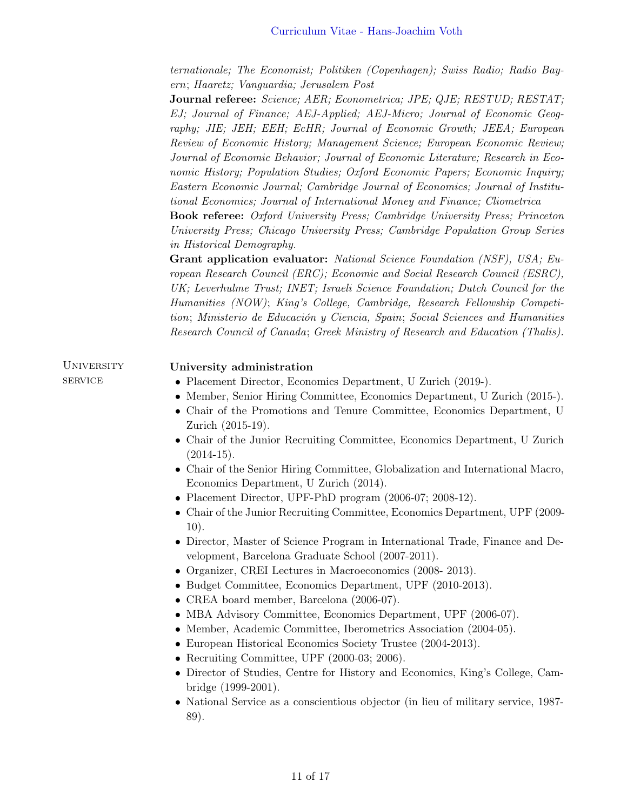ternationale; The Economist; Politiken (Copenhagen); Swiss Radio; Radio Bayern; Haaretz; Vanguardia; Jerusalem Post

Journal referee: Science; AER; Econometrica; JPE; QJE; RESTUD; RESTAT; EJ; Journal of Finance; AEJ-Applied; AEJ-Micro; Journal of Economic Geography; JIE; JEH; EEH; EcHR; Journal of Economic Growth; JEEA; European Review of Economic History; Management Science; European Economic Review; Journal of Economic Behavior; Journal of Economic Literature; Research in Economic History; Population Studies; Oxford Economic Papers; Economic Inquiry; Eastern Economic Journal; Cambridge Journal of Economics; Journal of Institutional Economics; Journal of International Money and Finance; Cliometrica

Book referee: Oxford University Press; Cambridge University Press; Princeton University Press; Chicago University Press; Cambridge Population Group Series in Historical Demography.

Grant application evaluator: National Science Foundation (NSF), USA; European Research Council (ERC); Economic and Social Research Council (ESRC), UK; Leverhulme Trust; INET; Israeli Science Foundation; Dutch Council for the Humanities (NOW); King's College, Cambridge, Research Fellowship Competition; Ministerio de Educación y Ciencia, Spain; Social Sciences and Humanities Research Council of Canada; Greek Ministry of Research and Education (Thalis).

| <b>UNIVERSITY</b> | University administration                                                          |
|-------------------|------------------------------------------------------------------------------------|
| <b>SERVICE</b>    | • Placement Director, Economics Department, U Zurich (2019-).                      |
|                   | • Member, Senior Hiring Committee, Economics Department, U Zurich (2015-).         |
|                   | • Chair of the Promotions and Tenure Committee, Economics Department, U            |
|                   | Zurich (2015-19).                                                                  |
|                   | • Chair of the Junior Recruiting Committee, Economics Department, U Zurich         |
|                   | $(2014-15).$                                                                       |
|                   | • Chair of the Senior Hiring Committee, Globalization and International Macro,     |
|                   | Economics Department, U Zurich (2014).                                             |
|                   | • Placement Director, UPF-PhD program (2006-07; 2008-12).                          |
|                   | • Chair of the Junior Recruiting Committee, Economics Department, UPF (2009-       |
|                   | 10).                                                                               |
|                   | • Director, Master of Science Program in International Trade, Finance and De-      |
|                   | velopment, Barcelona Graduate School (2007-2011).                                  |
|                   | • Organizer, CREI Lectures in Macroeconomics (2008-2013).                          |
|                   | • Budget Committee, Economics Department, UPF (2010-2013).                         |
|                   | $\bullet$ CREA board member, Barcelona (2006-07).                                  |
|                   | • MBA Advisory Committee, Economics Department, UPF (2006-07).                     |
|                   | Member, Academic Committee, Iberometrics Association (2004-05).                    |
|                   | • European Historical Economics Society Trustee (2004-2013).                       |
|                   | • Recruiting Committee, UPF $(2000-03; 2006)$ .                                    |
|                   | • Director of Studies, Centre for History and Economics, King's College, Cam-      |
|                   | bridge (1999-2001).                                                                |
|                   | • National Service as a conscientious objector (in lieu of military service, 1987- |
|                   | 89).                                                                               |
|                   |                                                                                    |
|                   |                                                                                    |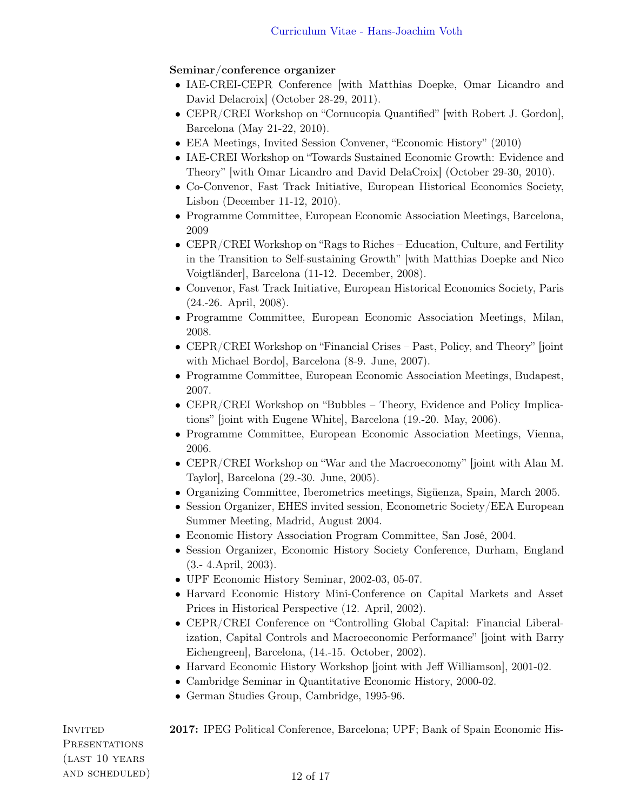## Seminar/conference organizer

- IAE-CREI-CEPR Conference [with Matthias Doepke, Omar Licandro and David Delacroix] (October 28-29, 2011).
- CEPR/CREI Workshop on "Cornucopia Quantified" [with Robert J. Gordon], Barcelona (May 21-22, 2010).
- EEA Meetings, Invited Session Convener, "Economic History" (2010)
- IAE-CREI Workshop on "Towards Sustained Economic Growth: Evidence and Theory" [with Omar Licandro and David DelaCroix] (October 29-30, 2010).
- Co-Convenor, Fast Track Initiative, European Historical Economics Society, Lisbon (December 11-12, 2010).
- Programme Committee, European Economic Association Meetings, Barcelona, 2009
- CEPR/CREI Workshop on "Rags to Riches Education, Culture, and Fertility in the Transition to Self-sustaining Growth" [with Matthias Doepke and Nico Voigtländer], Barcelona (11-12. December, 2008).
- Convenor, Fast Track Initiative, European Historical Economics Society, Paris (24.-26. April, 2008).
- Programme Committee, European Economic Association Meetings, Milan, 2008.
- CEPR/CREI Workshop on "Financial Crises Past, Policy, and Theory" [joint with Michael Bordo], Barcelona (8-9. June, 2007).
- Programme Committee, European Economic Association Meetings, Budapest, 2007.
- CEPR/CREI Workshop on "Bubbles Theory, Evidence and Policy Implications" [joint with Eugene White], Barcelona (19.-20. May, 2006).
- Programme Committee, European Economic Association Meetings, Vienna, 2006.
- CEPR/CREI Workshop on "War and the Macroeconomy" [joint with Alan M. Taylor], Barcelona (29.-30. June, 2005).
- Organizing Committee, Iberometrics meetings, Sigüenza, Spain, March 2005.
- Session Organizer, EHES invited session, Econometric Society/EEA European Summer Meeting, Madrid, August 2004.
- Economic History Association Program Committee, San José, 2004.
- Session Organizer, Economic History Society Conference, Durham, England (3.- 4.April, 2003).
- UPF Economic History Seminar, 2002-03, 05-07.
- Harvard Economic History Mini-Conference on Capital Markets and Asset Prices in Historical Perspective (12. April, 2002).
- CEPR/CREI Conference on "Controlling Global Capital: Financial Liberalization, Capital Controls and Macroeconomic Performance" [joint with Barry Eichengreen], Barcelona, (14.-15. October, 2002).
- Harvard Economic History Workshop [joint with Jeff Williamson], 2001-02.
- Cambridge Seminar in Quantitative Economic History, 2000-02.
- German Studies Group, Cambridge, 1995-96.

**PRESENTATIONS** (last 10 years AND SCHEDULED) 12 of 17

INVITED 2017: IPEG Political Conference, Barcelona; UPF; Bank of Spain Economic His-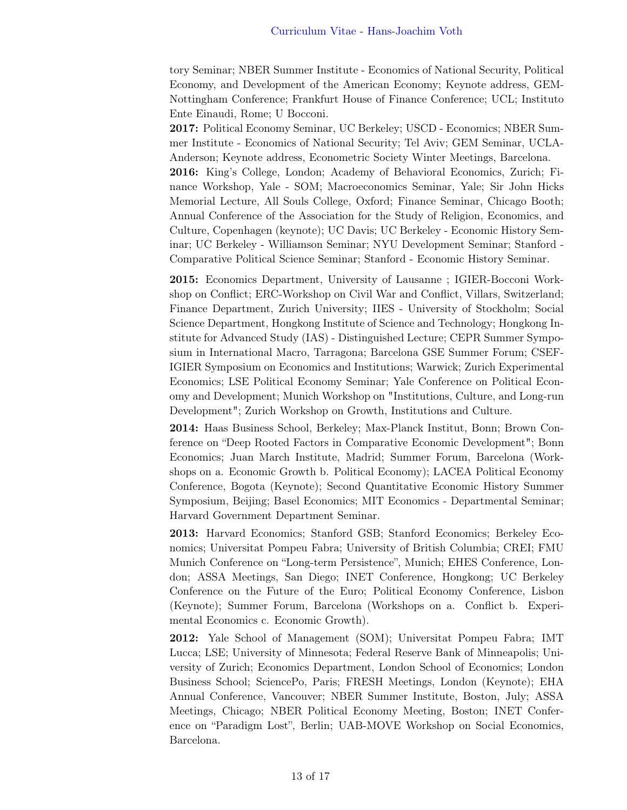tory Seminar; NBER Summer Institute - Economics of National Security, Political Economy, and Development of the American Economy; Keynote address, GEM-Nottingham Conference; Frankfurt House of Finance Conference; UCL; Instituto Ente Einaudi, Rome; U Bocconi.

2017: Political Economy Seminar, UC Berkeley; USCD - Economics; NBER Summer Institute - Economics of National Security; Tel Aviv; GEM Seminar, UCLA-Anderson; Keynote address, Econometric Society Winter Meetings, Barcelona. 2016: King's College, London; Academy of Behavioral Economics, Zurich; Finance Workshop, Yale - SOM; Macroeconomics Seminar, Yale; Sir John Hicks Memorial Lecture, All Souls College, Oxford; Finance Seminar, Chicago Booth; Annual Conference of the Association for the Study of Religion, Economics, and Culture, Copenhagen (keynote); UC Davis; UC Berkeley - Economic History Seminar; UC Berkeley - Williamson Seminar; NYU Development Seminar; Stanford - Comparative Political Science Seminar; Stanford - Economic History Seminar.

2015: Economics Department, University of Lausanne ; IGIER-Bocconi Workshop on Conflict; ERC-Workshop on Civil War and Conflict, Villars, Switzerland; Finance Department, Zurich University; IIES - University of Stockholm; Social Science Department, Hongkong Institute of Science and Technology; Hongkong Institute for Advanced Study (IAS) - Distinguished Lecture; CEPR Summer Symposium in International Macro, Tarragona; Barcelona GSE Summer Forum; CSEF-IGIER Symposium on Economics and Institutions; Warwick; Zurich Experimental Economics; LSE Political Economy Seminar; Yale Conference on Political Economy and Development; Munich Workshop on "Institutions, Culture, and Long-run Development"; Zurich Workshop on Growth, Institutions and Culture.

2014: Haas Business School, Berkeley; Max-Planck Institut, Bonn; Brown Conference on "Deep Rooted Factors in Comparative Economic Development"; Bonn Economics; Juan March Institute, Madrid; Summer Forum, Barcelona (Workshops on a. Economic Growth b. Political Economy); LACEA Political Economy Conference, Bogota (Keynote); Second Quantitative Economic History Summer Symposium, Beijing; Basel Economics; MIT Economics - Departmental Seminar; Harvard Government Department Seminar.

2013: Harvard Economics; Stanford GSB; Stanford Economics; Berkeley Economics; Universitat Pompeu Fabra; University of British Columbia; CREI; FMU Munich Conference on "Long-term Persistence", Munich; EHES Conference, London; ASSA Meetings, San Diego; INET Conference, Hongkong; UC Berkeley Conference on the Future of the Euro; Political Economy Conference, Lisbon (Keynote); Summer Forum, Barcelona (Workshops on a. Conflict b. Experimental Economics c. Economic Growth).

2012: Yale School of Management (SOM); Universitat Pompeu Fabra; IMT Lucca; LSE; University of Minnesota; Federal Reserve Bank of Minneapolis; University of Zurich; Economics Department, London School of Economics; London Business School; SciencePo, Paris; FRESH Meetings, London (Keynote); EHA Annual Conference, Vancouver; NBER Summer Institute, Boston, July; ASSA Meetings, Chicago; NBER Political Economy Meeting, Boston; INET Conference on "Paradigm Lost", Berlin; UAB-MOVE Workshop on Social Economics, Barcelona.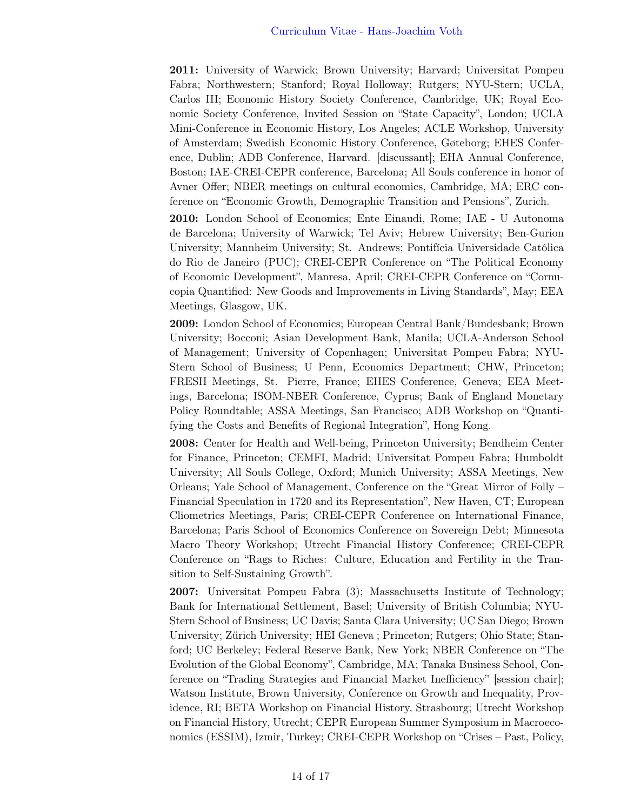2011: University of Warwick; Brown University; Harvard; Universitat Pompeu Fabra; Northwestern; Stanford; Royal Holloway; Rutgers; NYU-Stern; UCLA, Carlos III; Economic History Society Conference, Cambridge, UK; Royal Economic Society Conference, Invited Session on "State Capacity", London; UCLA Mini-Conference in Economic History, Los Angeles; ACLE Workshop, University of Amsterdam; Swedish Economic History Conference, Gøteborg; EHES Conference, Dublin; ADB Conference, Harvard. [discussant]; EHA Annual Conference, Boston; IAE-CREI-CEPR conference, Barcelona; All Souls conference in honor of Avner Offer; NBER meetings on cultural economics, Cambridge, MA; ERC conference on "Economic Growth, Demographic Transition and Pensions", Zurich.

2010: London School of Economics; Ente Einaudi, Rome; IAE - U Autonoma de Barcelona; University of Warwick; Tel Aviv; Hebrew University; Ben-Gurion University; Mannheim University; St. Andrews; Pontifícia Universidade Católica do Rio de Janeiro (PUC); CREI-CEPR Conference on "The Political Economy of Economic Development", Manresa, April; CREI-CEPR Conference on "Cornucopia Quantified: New Goods and Improvements in Living Standards", May; EEA Meetings, Glasgow, UK.

2009: London School of Economics; European Central Bank/Bundesbank; Brown University; Bocconi; Asian Development Bank, Manila; UCLA-Anderson School of Management; University of Copenhagen; Universitat Pompeu Fabra; NYU-Stern School of Business; U Penn, Economics Department; CHW, Princeton; FRESH Meetings, St. Pierre, France; EHES Conference, Geneva; EEA Meetings, Barcelona; ISOM-NBER Conference, Cyprus; Bank of England Monetary Policy Roundtable; ASSA Meetings, San Francisco; ADB Workshop on "Quantifying the Costs and Benefits of Regional Integration", Hong Kong.

2008: Center for Health and Well-being, Princeton University; Bendheim Center for Finance, Princeton; CEMFI, Madrid; Universitat Pompeu Fabra; Humboldt University; All Souls College, Oxford; Munich University; ASSA Meetings, New Orleans; Yale School of Management, Conference on the "Great Mirror of Folly – Financial Speculation in 1720 and its Representation", New Haven, CT; European Cliometrics Meetings, Paris; CREI-CEPR Conference on International Finance, Barcelona; Paris School of Economics Conference on Sovereign Debt; Minnesota Macro Theory Workshop; Utrecht Financial History Conference; CREI-CEPR Conference on "Rags to Riches: Culture, Education and Fertility in the Transition to Self-Sustaining Growth".

2007: Universitat Pompeu Fabra (3); Massachusetts Institute of Technology; Bank for International Settlement, Basel; University of British Columbia; NYU-Stern School of Business; UC Davis; Santa Clara University; UC San Diego; Brown University; Zürich University; HEI Geneva ; Princeton; Rutgers; Ohio State; Stanford; UC Berkeley; Federal Reserve Bank, New York; NBER Conference on "The Evolution of the Global Economy", Cambridge, MA; Tanaka Business School, Conference on "Trading Strategies and Financial Market Inefficiency" [session chair]; Watson Institute, Brown University, Conference on Growth and Inequality, Providence, RI; BETA Workshop on Financial History, Strasbourg; Utrecht Workshop on Financial History, Utrecht; CEPR European Summer Symposium in Macroeconomics (ESSIM), Izmir, Turkey; CREI-CEPR Workshop on "Crises – Past, Policy,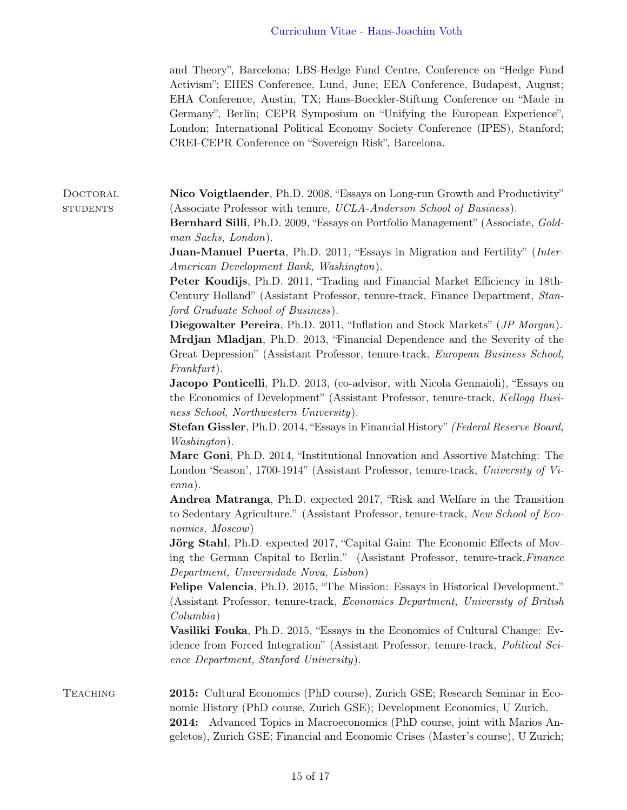and Theory", Barcelona; LBS-Hedge Fund Centre, Conference on "Hedge Fund Activism"; EHES Conference, Lund, June; EEA Conference, Budapest, August; EHA Conference, Austin, TX; Hans-Boeckler-Stiftung Conference on "Made in Germany", Berlin; CEPR Symposium on "Unifying the European Experience", London; International Political Economy Society Conference (IPES), Stanford; CREI-CEPR Conference on "Sovereign Risk", Barcelona.

DOCTORAL **Nico Voigtlaender**, Ph.D. 2008, "Essays on Long-run Growth and Productivity" students (Associate Professor with tenure, UCLA-Anderson School of Business).

> Bernhard Silli, Ph.D. 2009, "Essays on Portfolio Management" (Associate, Goldman Sachs, London).

> Juan-Manuel Puerta, Ph.D. 2011, "Essays in Migration and Fertility" (Inter-American Development Bank, Washington).

> Peter Koudijs, Ph.D. 2011, "Trading and Financial Market Efficiency in 18th-Century Holland" (Assistant Professor, tenure-track, Finance Department, Stanford Graduate School of Business).

> Diegowalter Pereira, Ph.D. 2011, "Inflation and Stock Markets" (JP Morgan). Mrdjan Mladjan, Ph.D. 2013, "Financial Dependence and the Severity of the Great Depression" (Assistant Professor, tenure-track, European Business School, Frankfurt).

> Jacopo Ponticelli, Ph.D. 2013, (co-advisor, with Nicola Gennaioli), "Essays on the Economics of Development" (Assistant Professor, tenure-track, Kellogg Business School, Northwestern University).

> Stefan Gissler, Ph.D. 2014, "Essays in Financial History" (Federal Reserve Board, Washington).

> Marc Goni, Ph.D. 2014, "Institutional Innovation and Assortive Matching: The London 'Season', 1700-1914" (Assistant Professor, tenure-track, University of Vienna).

> Andrea Matranga, Ph.D. expected 2017, "Risk and Welfare in the Transition to Sedentary Agriculture." (Assistant Professor, tenure-track, New School of Economics, Moscow)

> Jörg Stahl, Ph.D. expected 2017, "Capital Gain: The Economic Effects of Moving the German Capital to Berlin." (Assistant Professor, tenure-track,Finance Department, Universidade Nova, Lisbon)

> Felipe Valencia, Ph.D. 2015, "The Mission: Essays in Historical Development." (Assistant Professor, tenure-track, Economics Department, University of British Columbia)

> Vasiliki Fouka, Ph.D. 2015, "Essays in the Economics of Cultural Change: Evidence from Forced Integration" (Assistant Professor, tenure-track, Political Science Department, Stanford University).

Teaching 2015: Cultural Economics (PhD course), Zurich GSE; Research Seminar in Economic History (PhD course, Zurich GSE); Development Economics, U Zurich. 2014: Advanced Topics in Macroeconomics (PhD course, joint with Marios Angeletos), Zurich GSE; Financial and Economic Crises (Master's course), U Zurich;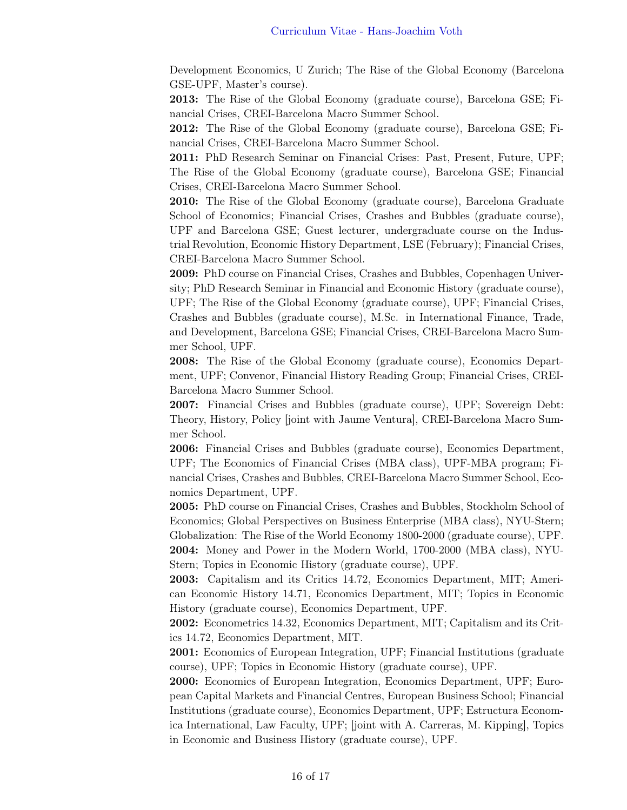Development Economics, U Zurich; The Rise of the Global Economy (Barcelona GSE-UPF, Master's course).

2013: The Rise of the Global Economy (graduate course), Barcelona GSE; Financial Crises, CREI-Barcelona Macro Summer School.

2012: The Rise of the Global Economy (graduate course), Barcelona GSE; Financial Crises, CREI-Barcelona Macro Summer School.

2011: PhD Research Seminar on Financial Crises: Past, Present, Future, UPF; The Rise of the Global Economy (graduate course), Barcelona GSE; Financial Crises, CREI-Barcelona Macro Summer School.

2010: The Rise of the Global Economy (graduate course), Barcelona Graduate School of Economics; Financial Crises, Crashes and Bubbles (graduate course), UPF and Barcelona GSE; Guest lecturer, undergraduate course on the Industrial Revolution, Economic History Department, LSE (February); Financial Crises, CREI-Barcelona Macro Summer School.

2009: PhD course on Financial Crises, Crashes and Bubbles, Copenhagen University; PhD Research Seminar in Financial and Economic History (graduate course), UPF; The Rise of the Global Economy (graduate course), UPF; Financial Crises, Crashes and Bubbles (graduate course), M.Sc. in International Finance, Trade, and Development, Barcelona GSE; Financial Crises, CREI-Barcelona Macro Summer School, UPF.

2008: The Rise of the Global Economy (graduate course), Economics Department, UPF; Convenor, Financial History Reading Group; Financial Crises, CREI-Barcelona Macro Summer School.

2007: Financial Crises and Bubbles (graduate course), UPF; Sovereign Debt: Theory, History, Policy [joint with Jaume Ventura], CREI-Barcelona Macro Summer School.

2006: Financial Crises and Bubbles (graduate course), Economics Department, UPF; The Economics of Financial Crises (MBA class), UPF-MBA program; Financial Crises, Crashes and Bubbles, CREI-Barcelona Macro Summer School, Economics Department, UPF.

2005: PhD course on Financial Crises, Crashes and Bubbles, Stockholm School of Economics; Global Perspectives on Business Enterprise (MBA class), NYU-Stern; Globalization: The Rise of the World Economy 1800-2000 (graduate course), UPF. 2004: Money and Power in the Modern World, 1700-2000 (MBA class), NYU-Stern; Topics in Economic History (graduate course), UPF.

2003: Capitalism and its Critics 14.72, Economics Department, MIT; American Economic History 14.71, Economics Department, MIT; Topics in Economic History (graduate course), Economics Department, UPF.

2002: Econometrics 14.32, Economics Department, MIT; Capitalism and its Critics 14.72, Economics Department, MIT.

2001: Economics of European Integration, UPF; Financial Institutions (graduate course), UPF; Topics in Economic History (graduate course), UPF.

2000: Economics of European Integration, Economics Department, UPF; European Capital Markets and Financial Centres, European Business School; Financial Institutions (graduate course), Economics Department, UPF; Estructura Economica International, Law Faculty, UPF; [joint with A. Carreras, M. Kipping], Topics in Economic and Business History (graduate course), UPF.